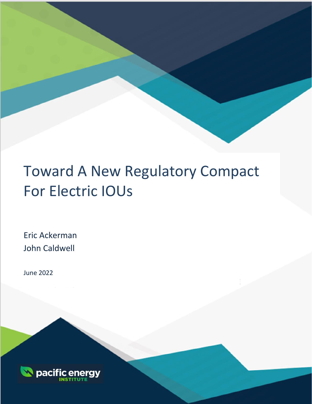# Toward A New Regulatory Compact For Electric IOUs

March 2021

Eric Ackerman John Caldwell

June 2022

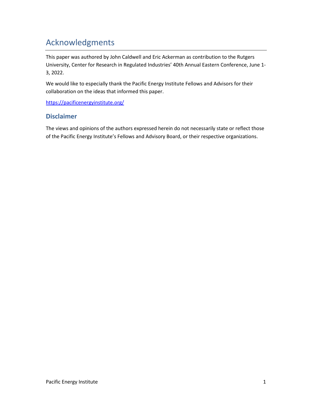# <span id="page-1-0"></span>Acknowledgments

This paper was authored by John Caldwell and Eric Ackerman as contribution to the Rutgers University, Center for Research in Regulated Industries' 40th Annual Eastern Conference, June 1- 3, 2022.

We would like to especially thank the Pacific Energy Institute Fellows and Advisors for their collaboration on the ideas that informed this paper.

<https://pacificenergyinstitute.org/>

#### <span id="page-1-1"></span>**Disclaimer**

The views and opinions of the authors expressed herein do not necessarily state or reflect those of the Pacific Energy Institute's Fellows and Advisory Board, or their respective organizations.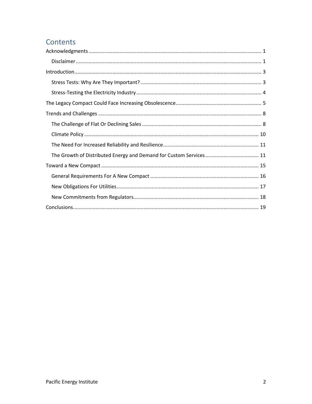### Contents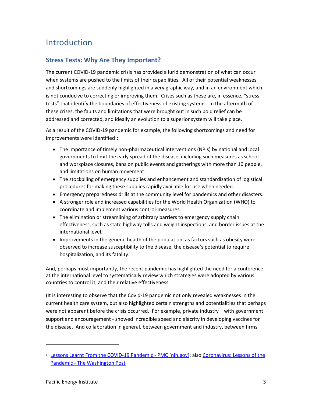## <span id="page-3-0"></span>Introduction

#### <span id="page-3-1"></span>**Stress Tests: Why Are They Important?**

The current COVID-19 pandemic crisis has provided a lurid demonstration of what can occur when systems are pushed to the limits of their capabilities. All of their potential weaknesses and shortcomings are suddenly highlighted in a very graphic way, and in an environment which is not conducive to correcting or improving them. Crises such as these are, in essence, "stress tests" that identify the boundaries of effectiveness of existing systems. In the aftermath of these crises, the faults and limitations that were brought out in such bold relief can be addressed and corrected, and ideally an evolution to a superior system will take place.

As a result of the COVID-19 pandemic for example, the following shortcomings and need for improvements were identified<sup>1</sup>:

- The importance of timely non-pharmaceutical interventions (NPIs) by national and local governments to limit the early spread of the disease, including such measures as school and workplace closures, bans on public events and gatherings with more than 10 people, and limitations on human movement.
- The stockpiling of emergency supplies and enhancement and standardization of logistical procedures for making these supplies rapidly available for use when needed.
- Emergency preparedness drills at the community level for pandemics and other disasters.
- A stronger role and increased capabilities for the World Health Organization (WHO) to coordinate and implement various control-measures.
- The elimination or streamlining of arbitrary barriers to emergency supply chain effectiveness, such as state highway tolls and weight inspections, and border issues at the international level.
- Improvements in the general health of the population, as factors such as obesity were observed to increase susceptibility to the disease, the disease's potential to require hospitalization, and its fatality.

And, perhaps most importantly, the recent pandemic has highlighted the need for a conference at the international level to systematically review which strategies were adopted by various countries to control it, and their relative effectiveness.

(It is interesting to observe that the Covid-19 pandemic not only revealed weaknesses in the current health care system, but also highlighted certain strengths and potentialities that perhaps were not apparent before the crisis occurred. For example, private industry – with government support and encouragement - showed incredible speed and alacrity in developing vaccines for the disease. And collaboration in general, between government and industry, between firms

<sup>&</sup>lt;sup>1</sup> [Lessons Learnt From the COVID-19 Pandemic -](https://www.ncbi.nlm.nih.gov/pmc/articles/PMC8365337/) PMC (nih.gov); also Coronavirus: Lessons of the Pandemic - [The Washington Post](https://www.washingtonpost.com/washington-post-live/2022/05/09/coronavirus-lessons-pandemic/)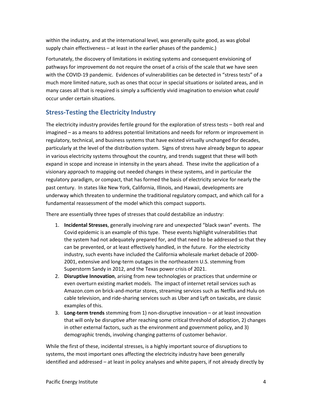within the industry, and at the international level, was generally quite good, as was global supply chain effectiveness – at least in the earlier phases of the pandemic.)

Fortunately, the discovery of limitations in existing systems and consequent envisioning of pathways for improvement do not require the onset of a crisis of the scale that we have seen with the COVID-19 pandemic. Evidences of vulnerabilities can be detected in "stress tests" of a much more limited nature, such as ones that occur in special situations or isolated areas, and in many cases all that is required is simply a sufficiently vivid imagination to envision what *could* occur under certain situations.

#### <span id="page-4-0"></span>**Stress-Testing the Electricity Industry**

The electricity industry provides fertile ground for the exploration of stress tests – both real and imagined – as a means to address potential limitations and needs for reform or improvement in regulatory, technical, and business systems that have existed virtually unchanged for decades, particularly at the level of the distribution system. Signs of stress have already begun to appear in various electricity systems throughout the country, and trends suggest that these will both expand in scope and increase in intensity in the years ahead. These invite the application of a visionary approach to mapping out needed changes in these systems, and in particular the regulatory paradigm, or compact, that has formed the basis of electricity service for nearly the past century. In states like New York, California, Illinois, and Hawaii, developments are underway which threaten to undermine the traditional regulatory compact, and which call for a fundamental reassessment of the model which this compact supports.

There are essentially three types of stresses that could destabilize an industry:

- 1. **Incidental Stresses**, generally involving rare and unexpected "black swan" events. The Covid epidemic is an example of this type. These events highlight vulnerabilities that the system had not adequately prepared for, and that need to be addressed so that they can be prevented, or at least effectively handled, in the future. For the electricity industry, such events have included the California wholesale market debacle of 2000- 2001, extensive and long-term outages in the northeastern U.S. stemming from Superstorm Sandy in 2012, and the Texas power crisis of 2021.
- 2. **Disruptive Innovation**, arising from new technologies or practices that undermine or even overturn existing market models. The impact of internet retail services such as Amazon.com on brick-and-mortar stores, streaming services such as Netflix and Hulu on cable television, and ride-sharing services such as Uber and Lyft on taxicabs, are classic examples of this.
- 3. **Long-term trends** stemming from 1) non-disruptive innovation or at least innovation that will only be disruptive after reaching some critical threshold of adoption, 2) changes in other external factors, such as the environment and government policy, and 3) demographic trends, involving changing patterns of customer behavior.

While the first of these, incidental stresses, is a highly important source of disruptions to systems, the most important ones affecting the electricity industry have been generally identified and addressed – at least in policy analyses and white papers, if not already directly by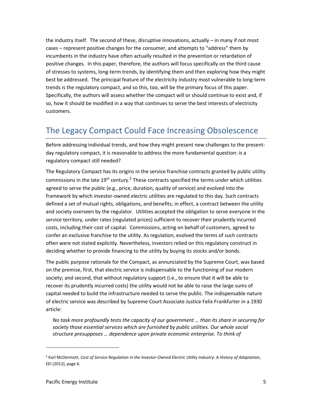the industry itself. The second of these, disruptive innovations, actually – in many if not most cases – represent positive changes for the consumer, and attempts to "address" them by incumbents in the industry have often actually resulted in the prevention or retardation of positive changes. In this paper, therefore, the authors will focus specifically on the third cause of stresses to systems, long-term trends, by identifying them and then exploring how they might best be addressed. The principal feature of the electricity industry most vulnerable to long-term trends is the regulatory compact, and so this, too, will be the primary focus of this paper. Specifically, the authors will assess whether the compact will or should continue to exist and, if so, how it should be modified in a way that continues to serve the best interests of electricity customers.

## <span id="page-5-0"></span>The Legacy Compact Could Face Increasing Obsolescence

Before addressing individual trends, and how they might present new challenges to the presentday regulatory compact, it is reasonable to address the more fundamental question: is a regulatory compact still needed?

The Regulatory Compact has its origins in the service franchise contracts granted by public utility commissions in the late  $19<sup>th</sup>$  century.<sup>2</sup> These contracts specified the terms under which utilities agreed to serve the public (e.g., price, duration, quality of service) and evolved into the framework by which investor-owned electric utilities are regulated to this day. Such contracts defined a set of mutual rights, obligations, and benefits; in effect, a contract between the utility and society overseen by the regulator. Utilities accepted the obligation to serve everyone in the service territory, under rates (regulated prices) sufficient to recover their prudently incurred costs, including their cost of capital. Commissions, acting on behalf of customers, agreed to confer an exclusive franchise to the utility. As regulation, evolved the terms of such contracts often were not stated explicitly. Nevertheless, investors relied on this regulatory construct in deciding whether to provide financing to the utility by buying its stocks and/or bonds.

The public purpose rationale for the Compact, as annunciated by the Supreme Court, was based on the premise, first, that electric service is indispensable to the functioning of our modern society; and second, that without regulatory support (i.e., to ensure that it will be able to recover its prudently incurred costs) the utility would not be able to raise the large sums of capital needed to build the infrastructure needed to serve the public. The indispensable nature of electric service was described by Supreme Court Associate Justice Felix Frankfurter in a 1930 article:

*No task more profoundly tests the capacity of our government … than its share in securing for society those essential services which are furnished by public utilities. Our whole social structure presupposes … dependence upon private economic enterprise. To think of* 

<sup>2</sup> Karl McDermott, *Cost of Service Regulation in the Investor-Owned Electric Utility Industry: A History of Adaptation*, EEI (2012), page 6.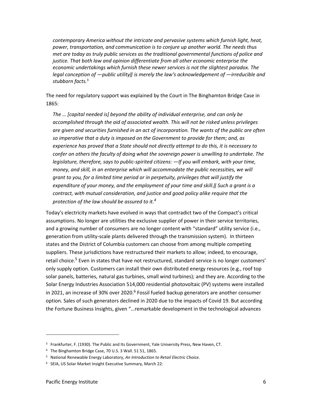*contemporary America without the intricate and pervasive systems which furnish light, heat, power, transportation, and communication is to conjure up another world. The needs thus met are today as truly public services as the traditional governmental functions of police and justice. That both law and opinion differentiate from all other economic enterprise the economic undertakings which furnish these newer services is not the slightest paradox. The legal conception of ―public utility‖ is merely the law's acknowledgement of ―irreducible and stubborn facts.*<sup>3</sup>

The need for regulatory support was explained by the Court in The Binghamton Bridge Case in 1865:

*The … [capital needed is] beyond the ability of individual enterprise, and can only be accomplished through the aid of associated wealth. This will not be risked unless privileges are given and securities furnished in an act of incorporation. The wants of the public are often so imperative that a duty is imposed on the Government to provide for them; and, as experience has proved that a State should not directly attempt to do this, it is necessary to confer on others the faculty of doing what the sovereign power is unwilling to undertake. The legislature, therefore, says to public-spirited citizens: ―If you will embark, with your time, money, and skill, in an enterprise which will accommodate the public necessities, we will grant to you, for a limited time period or in perpetuity, privileges that will justify the expenditure of your money, and the employment of your time and skill.‖ Such a grant is a contract, with mutual consideration, and justice and good policy alike require that the protection of the law should be assured to it.<sup>4</sup>*

Today's electricity markets have evolved in ways that contradict two of the Compact's critical assumptions. No longer are utilities the exclusive supplier of power in their service territories, and a growing number of consumers are no longer content with "standard" utility service (i.e., generation from utility-scale plants delivered through the transmission system). In thirteen states and the District of Columbia customers can choose from among multiple competing suppliers. These jurisdictions have restructured their markets to allow; indeed, to encourage, retail choice.<sup>5</sup> Even in states that have not restructured, standard service is no longer customers' only supply option. Customers can install their own distributed energy resources (e.g., roof top solar panels, batteries, natural gas turbines, small wind turbines); and they are. According to the Solar Energy Industries Association 514,000 residential photovoltaic (PV) systems were installed in 2021, an increase of 30% over 2020.<sup>6</sup> Fossil fueled backup generators are another consumer option. Sales of such generators declined in 2020 due to the impacts of Covid 19. But according the Fortune Business Insights, given "…remarkable development in the technological advances

<sup>&</sup>lt;sup>3</sup> Frankfurter, F. (1930). The Public and Its Government, Yale University Press, New Haven, CT.

<sup>4</sup> The Binghamton Bridge Case, 70 U.S. 3 Wall. 51 51, 1865.

<sup>5</sup> National Renewable Energy Laboratory, *An Introduction to Retail Electric Choice*.

<sup>6</sup> SEIA, US Solar Market Insight Executive Summary, March 22: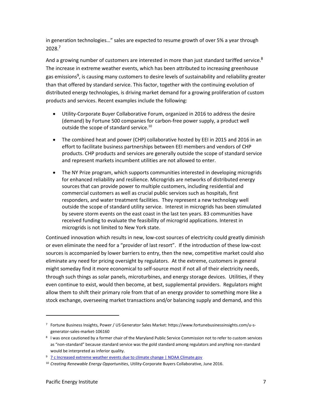in generation technologies…" sales are expected to resume growth of over 5% a year through 2028.<sup>7</sup>

And a growing number of customers are interested in more than just standard tariffed service.<sup>8</sup> The increase in extreme weather events, which has been attributed to increasing greenhouse gas emissions<sup>9</sup>, is causing many customers to desire levels of sustainability and reliability greater than that offered by standard service. This factor, together with the continuing evolution of distributed energy technologies, is driving market demand for a growing proliferation of custom products and services. Recent examples include the following:

- Utility-Corporate Buyer Collaborative Forum, organized in 2016 to address the desire (demand) by Fortune 500 companies for carbon-free power supply, a product well outside the scope of standard service.<sup>10</sup>
- The combined heat and power (CHP) collaborative hosted by EEI in 2015 and 2016 in an effort to facilitate business partnerships between EEI members and vendors of CHP products. CHP products and services are generally outside the scope of standard service and represent markets incumbent utilities are not allowed to enter.
- The NY Prize program, which supports communities interested in developing microgrids for enhanced reliability and resilience. Microgrids are networks of distributed energy sources that can provide power to multiple customers, including residential and commercial customers as well as crucial public services such as hospitals, first responders, and water treatment facilities. They represent a new technology well outside the scope of standard utility service. Interest in microgrids has been stimulated by severe storm events on the east coast in the last ten years. 83 communities have received funding to evaluate the feasibility of microgrid applications. Interest in microgrids is not limited to New York state.

Continued innovation which results in new, low-cost sources of electricity could greatly diminish or even eliminate the need for a "provider of last resort". If the introduction of these low-cost sources is accompanied by lower barriers to entry, then the new, competitive market could also eliminate any need for pricing oversight by regulators. At the extreme, customers in general might someday find it more economical to self-source most if not all of their electricity needs, through such things as solar panels, microturbines, and energy storage devices. Utilities, if they even continue to exist, would then become, at best, supplemental providers. Regulators might allow them to shift their primary role from that of an energy provider to something more like a stock exchange, overseeing market transactions and/or balancing supply and demand, and this

<sup>7</sup> Fortune Business Insights, Power / US Generator Sales Market: https://www.fortunebusinessinsights.com/u-sgenerator-sales-market-106160

<sup>8</sup> I was once cautioned by a former chair of the Maryland Public Service Commission not to refer to custom services as "non-standard" because standard service was the gold standard among regulators and anything non-standard would be interpreted as inferior quality.

<sup>9</sup> [7 c Increased extreme weather events due to climate change | NOAA Climate.gov](https://www.climate.gov/teaching/literacy/7-c-increased-extreme-weather-events-due-climate-change)

<sup>10</sup> *Creating Renewable Energy Opportunities*, Utility-Corporate Buyers Collaborative, June 2016.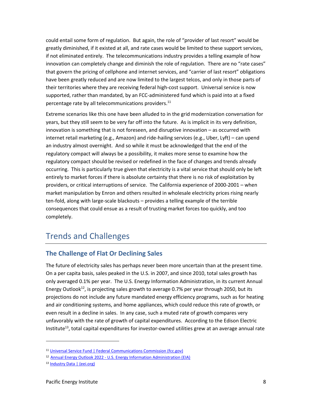could entail some form of regulation. But again, the role of "provider of last resort" would be greatly diminished, if it existed at all, and rate cases would be limited to these support services, if not eliminated entirely. The telecommunications industry provides a telling example of how innovation can completely change and diminish the role of regulation. There are no "rate cases" that govern the pricing of cellphone and internet services, and "carrier of last resort" obligations have been greatly reduced and are now limited to the largest telcos, and only in those parts of their territories where they are receiving federal high-cost support. Universal service is now supported, rather than mandated, by an FCC-administered fund which is paid into at a fixed percentage rate by all telecommunications providers.<sup>11</sup>

Extreme scenarios like this one have been alluded to in the grid modernization conversation for years, but they still seem to be very far off into the future. As is implicit in its very definition, innovation is something that is not foreseen, and disruptive innovation – as occurred with internet retail marketing (e.g., Amazon) and ride-hailing services (e.g., Uber, Lyft) – can upend an industry almost overnight. And so while it must be acknowledged that the end of the regulatory compact will always be a possibility, it makes more sense to examine how the regulatory compact should be revised or redefined in the face of changes and trends already occurring. This is particularly true given that electricity is a vital service that should only be left entirely to market forces if there is absolute certainty that there is no risk of exploitation by providers, or critical interruptions of service. The California experience of 2000-2001 – when market manipulation by Enron and others resulted in wholesale electricity prices rising nearly ten-fold, along with large-scale blackouts – provides a telling example of the terrible consequences that could ensue as a result of trusting market forces too quickly, and too completely.

## <span id="page-8-0"></span>Trends and Challenges

#### <span id="page-8-1"></span>**The Challenge of Flat Or Declining Sales**

The future of electricity sales has perhaps never been more uncertain than at the present time. On a per capita basis, sales peaked in the U.S. in 2007, and since 2010, total sales growth has only averaged 0.1% per year. The U.S. Energy Information Administration, in its current Annual Energy Outlook<sup>12</sup>, is projecting sales growth to average 0.7% per year through 2050, but its projections do not include any future mandated energy efficiency programs, such as for heating and air conditioning systems, and home appliances, which could reduce this rate of growth, or even result in a decline in sales. In any case, such a muted rate of growth compares very unfavorably with the rate of growth of capital expenditures. According to the Edison Electric Institute $^{13}$ , total capital expenditures for investor-owned utilities grew at an average annual rate

<sup>11</sup> [Universal Service Fund | Federal Communications Commission \(fcc.gov\)](https://www.fcc.gov/general/universal-service-fund)

<sup>12</sup> Annual Energy Outlook 2022 - [U.S. Energy Information Administration \(EIA\)](https://www.eia.gov/outlooks/aeo/)

<sup>13</sup> [Industry Data | \(eei.org\)](https://www.eei.org/resources-and-media/industry-data)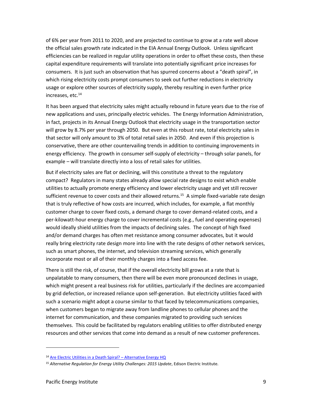of 6% per year from 2011 to 2020, and are projected to continue to grow at a rate well above the official sales growth rate indicated in the EIA Annual Energy Outlook. Unless significant efficiencies can be realized in regular utility operations in order to offset these costs, then these capital expenditure requirements will translate into potentially significant price increases for consumers. It is just such an observation that has spurred concerns about a "death spiral", in which rising electricity costs prompt consumers to seek out further reductions in electricity usage or explore other sources of electricity supply, thereby resulting in even further price increases, etc.<sup>14</sup>

It has been argued that electricity sales might actually rebound in future years due to the rise of new applications and uses, principally electric vehicles. The Energy Information Administration, in fact, projects in its Annual Energy Outlook that electricity usage in the transportation sector will grow by 8.7% per year through 2050. But even at this robust rate, total electricity sales in that sector will only amount to 3% of total retail sales in 2050. And even if this projection is conservative, there are other countervailing trends in addition to continuing improvements in energy efficiency. The growth in consumer self-supply of electricity – through solar panels, for example – will translate directly into a loss of retail sales for utilities.

But if electricity sales are flat or declining, will this constitute a threat to the regulatory compact? Regulators in many states already allow special rate designs to exist which enable utilities to actually promote energy efficiency and lower electricity usage and yet still recover sufficient revenue to cover costs and their allowed returns.<sup>15</sup> A simple fixed-variable rate design that is truly reflective of how costs are incurred, which includes, for example, a flat monthly customer charge to cover fixed costs, a demand charge to cover demand-related costs, and a per-kilowatt-hour energy charge to cover incremental costs (e.g., fuel and operating expenses) would ideally shield utilities from the impacts of declining sales. The concept of high fixed and/or demand charges has often met resistance among consumer advocates, but it would really bring electricity rate design more into line with the rate designs of other network services, such as smart phones, the internet, and television streaming services, which generally incorporate most or all of their monthly charges into a fixed access fee.

There is still the risk, of course, that if the overall electricity bill grows at a rate that is unpalatable to many consumers, then there will be even more pronounced declines in usage, which might present a real business risk for utilities, particularly if the declines are accompanied by grid defection, or increased reliance upon self-generation. But electricity utilities faced with such a scenario might adopt a course similar to that faced by telecommunications companies, when customers began to migrate away from landline phones to cellular phones and the internet for communication, and these companies migrated to providing such services themselves. This could be facilitated by regulators enabling utilities to offer distributed energy resources and other services that come into demand as a result of new customer preferences.

<sup>14</sup> [Are Electric Utilities in a Death Spiral?](https://www.alternativeenergyhq.com/are-electric-utilities-in-a-death-spiral.php) – Alternative Energy HQ

<sup>15</sup> *Alternative Regulation for Energy Utility Challenges: 2015 Update*, Edison Electric Institute.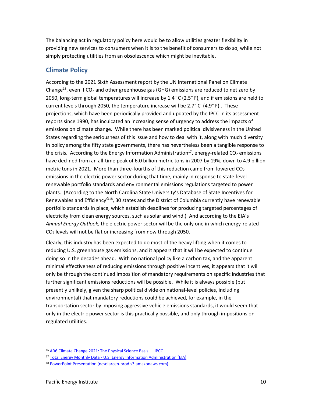The balancing act in regulatory policy here would be to allow utilities greater flexibility in providing new services to consumers when it is to the benefit of consumers to do so, while not simply protecting utilities from an obsolescence which might be inevitable.

#### <span id="page-10-0"></span>**Climate Policy**

According to the 2021 Sixth Assessment report by the UN International Panel on Climate Change<sup>16</sup>, even if CO<sub>2</sub> and other greenhouse gas (GHG) emissions are reduced to net zero by 2050, long-term global temperatures will increase by  $1.4^{\circ}$  C (2.5 $^{\circ}$  F), and if emissions are held to current levels through 2050, the temperature increase will be 2.7° C (4.9° F) . These projections, which have been periodically provided and updated by the IPCC in its assessment reports since 1990, has inculcated an increasing sense of urgency to address the impacts of emissions on climate change. While there has been marked political divisiveness in the United States regarding the seriousness of this issue and how to deal with it, along with much diversity in policy among the fifty state governments, there has nevertheless been a tangible response to the crisis. According to the Energy Information Administration<sup>17</sup>, energy-related CO<sub>2</sub> emissions have declined from an all-time peak of 6.0 billion metric tons in 2007 by 19%, down to 4.9 billion metric tons in 2021. More than three-fourths of this reduction came from lowered  $CO<sub>2</sub>$ emissions in the electric power sector during that time, mainly in response to state-level renewable portfolio standards and environmental emissions regulations targeted to power plants. (According to the North Carolina State University's Database of State Incentives for Renewables and Efficiency<sup>©18</sup>, 30 states and the District of Columbia currently have renewable portfolio standards in place, which establish deadlines for producing targeted percentages of electricity from clean energy sources, such as solar and wind.) And according to the EIA's *Annual Energy Outlook*, the electric power sector will be the only one in which energy-related CO<sup>2</sup> levels will not be flat or increasing from now through 2050.

Clearly, this industry has been expected to do most of the heavy lifting when it comes to reducing U.S. greenhouse gas emissions, and it appears that it will be expected to continue doing so in the decades ahead. With no national policy like a carbon tax, and the apparent minimal effectiveness of reducing emissions through positive incentives, it appears that it will only be through the continued imposition of mandatory requirements on specific industries that further significant emissions reductions will be possible. While it is always possible (but presently unlikely, given the sharp political divide on national-level policies, including environmental) that mandatory reductions could be achieved, for example, in the transportation sector by imposing aggressive vehicle emissions standards, it would seem that only in the electric power sector is this practically possible, and only through impositions on regulated utilities.

<sup>16</sup> [AR6 Climate Change 2021: The Physical Science Basis](https://www.ipcc.ch/report/sixth-assessment-report-working-group-i/) - IPCC

<sup>17</sup> Total Energy Monthly Data - [U.S. Energy Information Administration \(EIA\)](https://www.eia.gov/totalenergy/data/monthly/#environment)

<sup>18</sup> [PowerPoint Presentation \(ncsolarcen-prod.s3.amazonaws.com\)](https://ncsolarcen-prod.s3.amazonaws.com/wp-content/uploads/2020/09/RPS-CES-Sept2020.pdf)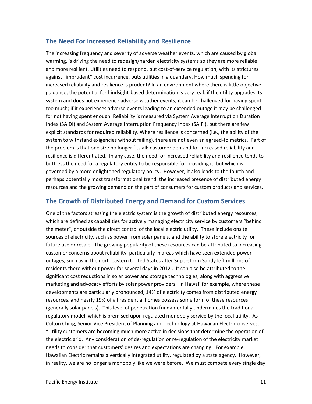#### <span id="page-11-0"></span>**The Need For Increased Reliability and Resilience**

The increasing frequency and severity of adverse weather events, which are caused by global warming, is driving the need to redesign/harden electricity systems so they are more reliable and more resilient. Utilities need to respond, but cost-of-service regulation, with its strictures against "imprudent" cost incurrence, puts utilities in a quandary. How much spending for increased reliability and resilience is prudent? In an environment where there is little objective guidance, the potential for hindsight-based determination is very real: if the utility upgrades its system and does not experience adverse weather events, it can be challenged for having spent too much; if it experiences adverse events leading to an extended outage it may be challenged for not having spent enough. Reliability is measured via System Average Interruption Duration Index (SAIDI) and System Average Interruption Frequency Index (SAIFI), but there are few explicit standards for required reliability. Where resilience is concerned (i.e., the ability of the system to withstand exigencies without failing), there are not even an agreed-to metrics. Part of the problem is that one size no longer fits all: customer demand for increased reliability and resilience is differentiated. In any case, the need for increased reliability and resilience tends to buttress the need for a regulatory entity to be responsible for providing it, but which is governed by a more enlightened regulatory policy. However, it also leads to the fourth and perhaps potentially most transformational trend: the increased presence of distributed energy resources and the growing demand on the part of consumers for custom products and services.

#### <span id="page-11-1"></span>**The Growth of Distributed Energy and Demand for Custom Services**

One of the factors stressing the electric system is the growth of distributed energy resources, which are defined as capabilities for actively managing electricity service by customers "behind the meter", or outside the direct control of the local electric utility. These include onsite sources of electricity, such as power from solar panels, and the ability to store electricity for future use or resale. The growing popularity of these resources can be attributed to increasing customer concerns about reliability, particularly in areas which have seen extended power outages, such as in the northeastern United States after Superstorm Sandy left millions of residents there without power for several days in 2012 . It can also be attributed to the significant cost reductions in solar power and storage technologies, along with aggressive marketing and advocacy efforts by solar power providers. In Hawaii for example, where these developments are particularly pronounced, 14% of electricity comes from distributed energy resources, and nearly 19% of all residential homes possess some form of these resources (generally solar panels). This level of penetration fundamentally undermines the traditional regulatory model, which is premised upon regulated monopoly service by the local utility. As Colton Ching, Senior Vice President of Planning and Technology at Hawaiian Electric observes: "Utility customers are becoming much more active in decisions that determine the operation of the electric grid. Any consideration of de-regulation or re-regulation of the electricity market needs to consider that customers' desires and expectations are changing. For example, Hawaiian Electric remains a vertically integrated utility, regulated by a state agency. However, in reality, we are no longer a monopoly like we were before. We must compete every single day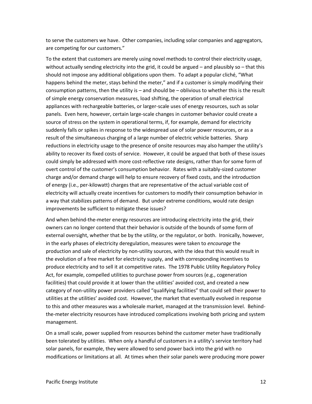to serve the customers we have. Other companies, including solar companies and aggregators, are competing for our customers."

To the extent that customers are merely using novel methods to control their electricity usage, without actually sending electricity into the grid, it could be argued – and plausibly so – that this should not impose any additional obligations upon them. To adapt a popular cliché, "What happens behind the meter, stays behind the meter," and if a customer is simply modifying their consumption patterns, then the utility is – and should be – oblivious to whether this is the result of simple energy conservation measures, load shifting, the operation of small electrical appliances with rechargeable batteries, or larger-scale uses of energy resources, such as solar panels. Even here, however, certain large-scale changes in customer behavior could create a source of stress on the system in operational terms, if, for example, demand for electricity suddenly falls or spikes in response to the widespread use of solar power resources, or as a result of the simultaneous charging of a large number of electric vehicle batteries. Sharp reductions in electricity usage to the presence of onsite resources may also hamper the utility's ability to recover its fixed costs of service. However, it could be argued that both of these issues could simply be addressed with more cost-reflective rate designs, rather than for some form of overt control of the customer's consumption behavior. Rates with a suitably-sized customer charge and/or demand charge will help to ensure recovery of fixed costs, and the introduction of energy (i.e., per-kilowatt) charges that are representative of the actual variable cost of electricity will actually create incentives for customers to modify their consumption behavior in a way that stabilizes patterns of demand. But under extreme conditions, would rate design improvements be sufficient to mitigate these issues?

And when behind-the-meter energy resources are introducing electricity into the grid, their owners can no longer contend that their behavior is outside of the bounds of some form of external oversight, whether that be by the utility, or the regulator, or both. Ironically, however, in the early phases of electricity deregulation, measures were taken to *encourage* the production and sale of electricity by non-utility sources, with the idea that this would result in the evolution of a free market for electricity supply, and with corresponding incentives to produce electricity and to sell it at competitive rates. The 1978 Public Utility Regulatory Policy Act, for example, compelled utilities to purchase power from sources (e.g., cogeneration facilities) that could provide it at lower than the utilities' avoided cost, and created a new category of non-utility power providers called "qualifying facilities" that could sell their power to utilities at the utilities' avoided cost. However, the market that eventually evolved in response to this and other measures was a wholesale market, managed at the transmission level. Behindthe-meter electricity resources have introduced complications involving both pricing and system management.

On a small scale, power supplied from resources behind the customer meter have traditionally been tolerated by utilities. When only a handful of customers in a utility's service territory had solar panels, for example, they were allowed to send power back into the grid with no modifications or limitations at all. At times when their solar panels were producing more power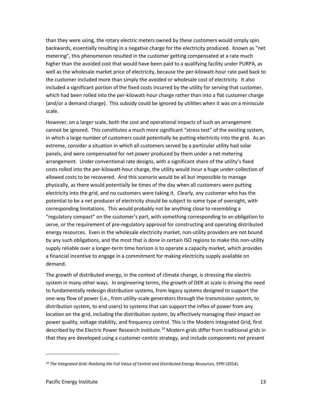than they were using, the rotary electric meters owned by these customers would simply spin backwards, essentially resulting in a negative charge for the electricity produced. Known as "net metering", this phenomenon resulted in the customer getting compensated at a rate much higher than the avoided cost that would have been paid to a qualifying facility under PURPA, as well as the wholesale market price of electricity, because the per-kilowatt-hour rate paid back to the customer included more than simply the avoided or wholesale cost of electricity. It also included a significant portion of the fixed costs incurred by the utility for serving that customer, which had been rolled into the per-kilowatt-hour charge rather than into a flat customer charge (and/or a demand charge). This subsidy could be ignored by utilities when it was on a miniscule scale.

However, on a larger scale, both the cost and operational impacts of such an arrangement cannot be ignored. This constitutes a much more significant "stress test" of the existing system, in which a large number of customers could potentially be putting electricity into the grid. As an extreme, consider a situation in which all customers served by a particular utility had solar panels, and were compensated for net power produced by them under a net metering arrangement. Under conventional rate designs, with a significant share of the utility's fixed costs rolled into the per-kilowatt-hour charge, the utility would incur a huge under-collection of allowed costs to be recovered. And this scenario would be all but impossible to manage physically, as there would potentially be times of the day when all customers were putting electricity into the grid, and no customers were taking it. Clearly, any customer who has the potential to be a net producer of electricity should be subject to some type of oversight, with corresponding limitations. This would probably not be anything close to resembling a "regulatory compact" on the customer's part, with something corresponding to an obligation to serve, or the requirement of pre-regulatory approval for constructing and operating distributed energy resources. Even in the wholesale electricity market, non-utility providers are not bound by any such obligations, and the most that is done in certain ISO regions to make this non-utility supply reliable over a longer-term time horizon is to operate a capacity market, which provides a financial incentive to engage in a commitment for making electricity supply available on demand.

The growth of distributed energy, in the context of climate change, is stressing the electric system in many other ways. In engineering terms, the growth of DER at scale is driving the need to fundamentally redesign distribution systems, from legacy systems designed to support the one-way flow of power (i.e., from utility-scale generators through the transmission system, to distribution system, to end users) to systems that can support the inflex of power from any location on the grid, including the distribution system, by effectively managing their impact on power quality, voltage stability, and frequency control. This is the Modern Integrated Grid, first described by the Electric Power Research Institute.<sup>19</sup> Modern grids differ from traditional grids in that they are developed using a customer-centric strategy, and include components not present

<sup>19</sup> *The Integrated Grid: Realizing the Full Value of Central and Distributed Energy Resources,* EPRI (2014).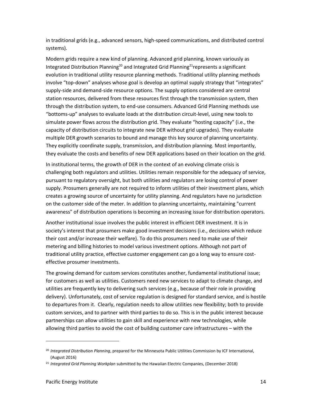in traditional grids (e.g., advanced sensors, high-speed communications, and distributed control systems).

Modern grids require a new kind of planning. Advanced grid planning, known variously as Integrated Distribution Planning<sup>20</sup> and Integrated Grid Planning<sup>21</sup>represents a significant evolution in traditional utility resource planning methods. Traditional utility planning methods involve "top-down" analyses whose goal is develop an optimal supply strategy that "integrates" supply-side and demand-side resource options. The supply options considered are central station resources, delivered from these resources first through the transmission system, then through the distribution system, to end-use consumers. Advanced Grid Planning methods use "bottoms-up" analyses to evaluate loads at the distribution circuit-level, using new tools to simulate power flows across the distribution grid. They evaluate "hosting capacity" (i.e., the capacity of distribution circuits to integrate new DER without grid upgrades). They evaluate multiple DER growth scenarios to bound and manage this key source of planning uncertainty. They explicitly coordinate supply, transmission, and distribution planning. Most importantly, they evaluate the costs and benefits of new DER applications based on their location on the grid.

In institutional terms, the growth of DER in the context of an evolving climate crisis is challenging both regulators and utilities. Utilities remain responsible for the adequacy of service, pursuant to regulatory oversight, but both utilities and regulators are losing control of power supply. Prosumers generally are not required to inform utilities of their investment plans, which creates a growing source of uncertainty for utility planning. And regulators have no jurisdiction on the customer side of the meter. In addition to planning uncertainty, maintaining "current awareness" of distribution operations is becoming an increasing issue for distribution operators.

Another institutional issue involves the public interest in efficient DER investment. It is in society's interest that prosumers make good investment decisions (i.e., decisions which reduce their cost and/or increase their welfare). To do this prosumers need to make use of their metering and billing histories to model various investment options. Although not part of traditional utility practice, effective customer engagement can go a long way to ensure costeffective prosumer investments.

The growing demand for custom services constitutes another, fundamental institutional issue; for customers as well as utilities. Customers need new services to adapt to climate change, and utilities are frequently key to delivering such services (e.g., because of their role in providing delivery). Unfortunately, cost of service regulation is designed for standard service, and is hostile to departures from it. Clearly, regulation needs to allow utilities new flexibility; both to provide custom services, and to partner with third parties to do so. This is in the public interest because partnerships can allow utilities to gain skill and experience with new technologies, while allowing third parties to avoid the cost of building customer care infrastructures – with the

<sup>20</sup> *Integrated Distribution Planning*, prepared for the Minnesota Public Utilities Commission by ICF International, (August 2016)

<sup>21</sup> *Integrated Grid Planning Workplan* submitted by the Hawaiian Electric Companies, (December 2018)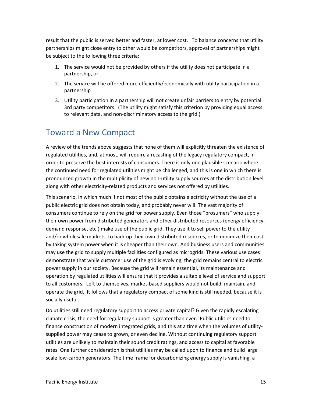result that the public is served better and faster, at lower cost. To balance concerns that utility partnerships might close entry to other would be competitors, approval of partnerships might be subject to the following three criteria:

- 1. The service would not be provided by others if the utility does not participate in a partnership, or
- 2. The service will be offered more efficiently/economically with utility participation in a partnership
- 3. Utility participation in a partnership will not create unfair barriers to entry by potential 3rd party competitors. (The utility might satisfy this criterion by providing equal access to relevant data, and non-discriminatory access to the grid.)

## <span id="page-15-0"></span>Toward a New Compact

A review of the trends above suggests that none of them will explicitly threaten the existence of regulated utilities, and, at most, will require a recasting of the legacy regulatory compact, in order to preserve the best interests of consumers. There is only one plausible scenario where the continued need for regulated utilities might be challenged, and this is one in which there is pronounced growth in the multiplicity of new non-utility supply sources at the distribution level, along with other electricity-related products and services not offered by utilities.

This scenario, in which much if not most of the public obtains electricity without the use of a public electric grid does not obtain today, and probably never will. The vast majority of consumers continue to rely on the grid for power supply. Even those "prosumers" who supply their own power from distributed generators and other distributed resources (energy efficiency, demand response, etc.) make use of the public grid. They use it to sell power to the utility and/or wholesale markets, to back up their own distributed resources, or to minimize their cost by taking system power when it is cheaper than their own. And business users and communities may use the grid to supply multiple facilities configured as microgrids. These various use cases demonstrate that while customer use of the grid is evolving, the grid remains central to electric power supply in our society. Because the grid will remain essential, its maintenance and operation by regulated utilities will ensure that it provides a suitable level of service and support to all customers. Left to themselves, market-based suppliers would not build, maintain, and operate the grid. It follows that a regulatory compact of some kind is still needed, because it is socially useful.

Do utilities still need regulatory support to access private capital? Given the rapidly escalating climate crisis, the need for regulatory support is greater than ever. Public utilities need to finance construction of modern integrated grids, and this at a time when the volumes of utilitysupplied power may cease to grown, or even decline. Without continuing regulatory support utilities are unlikely to maintain their sound credit ratings, and access to capital at favorable rates. One further consideration is that utilities may be called upon to finance and build large scale low-carbon generators. The time frame for decarbonizing energy supply is vanishing, a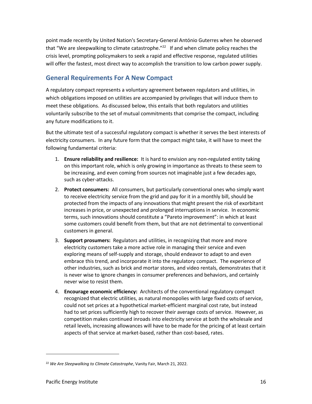point made recently by United Nation's Secretary-General António Guterres when he observed that "We are sleepwalking to climate catastrophe."<sup>22</sup> If and when climate policy reaches the crisis level, prompting policymakers to seek a rapid and effective response, regulated utilities will offer the fastest, most direct way to accomplish the transition to low carbon power supply.

#### <span id="page-16-0"></span>**General Requirements For A New Compact**

A regulatory compact represents a voluntary agreement between regulators and utilities, in which obligations imposed on utilities are accompanied by privileges that will induce them to meet these obligations. As discussed below, this entails that both regulators and utilities voluntarily subscribe to the set of mutual commitments that comprise the compact, including any future modifications to it.

But the ultimate test of a successful regulatory compact is whether it serves the best interests of electricity consumers. In any future form that the compact might take, it will have to meet the following fundamental criteria:

- 1. **Ensure reliability and resilience:** It is hard to envision any non-regulated entity taking on this important role, which is only growing in importance as threats to these seem to be increasing, and even coming from sources not imaginable just a few decades ago, such as cyber-attacks.
- 2. **Protect consumers:** All consumers, but particularly conventional ones who simply want to receive electricity service from the grid and pay for it in a monthly bill, should be protected from the impacts of any innovations that might present the risk of exorbitant increases in price, or unexpected and prolonged interruptions in service. In economic terms, such innovations should constitute a "Pareto improvement": in which at least some customers could benefit from them, but that are not detrimental to conventional customers in general.
- 3. **Support prosumers:** Regulators and utilities, in recognizing that more and more electricity customers take a more active role in managing their service and even exploring means of self-supply and storage, should endeavor to adapt to and even embrace this trend, and incorporate it into the regulatory compact. The experience of other industries, such as brick and mortar stores, and video rentals, demonstrates that it is never wise to ignore changes in consumer preferences and behaviors, and certainly never wise to resist them.
- 4. **Encourage economic efficiency:** Architects of the conventional regulatory compact recognized that electric utilities, as natural monopolies with large fixed costs of service, could not set prices at a hypothetical market-efficient marginal cost rate, but instead had to set prices sufficiently high to recover their average costs of service. However, as competition makes continued inroads into electricity service at both the wholesale and retail levels, increasing allowances will have to be made for the pricing of at least certain aspects of that service at market-based, rather than cost-based, rates.

<sup>22</sup> *We Are Sleepwalking to Climate Catastrophe*, Vanity Fair, March 21, 2022.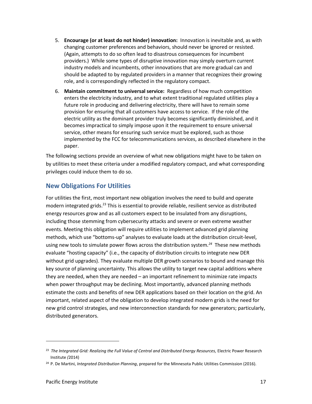- 5. **Encourage (or at least do not hinder) innovation:** Innovation is inevitable and, as with changing customer preferences and behaviors, should never be ignored or resisted. (Again, attempts to do so often lead to disastrous consequences for incumbent providers.) While some types of disruptive innovation may simply overturn current industry models and incumbents, other innovations that are more gradual can and should be adapted to by regulated providers in a manner that recognizes their growing role, and is correspondingly reflected in the regulatory compact.
- 6. **Maintain commitment to universal service:** Regardless of how much competition enters the electricity industry, and to what extent traditional regulated utilities play a future role in producing and delivering electricity, there will have to remain some provision for ensuring that all customers have access to service. If the role of the electric utility as the dominant provider truly becomes significantly diminished, and it becomes impractical to simply impose upon it the requirement to ensure universal service, other means for ensuring such service must be explored, such as those implemented by the FCC for telecommunications services, as described elsewhere in the paper.

The following sections provide an overview of what new obligations might have to be taken on by utilities to meet these criteria under a modified regulatory compact, and what corresponding privileges could induce them to do so.

#### <span id="page-17-0"></span>**New Obligations For Utilities**

For utilities the first, most important new obligation involves the need to build and operate modern integrated grids.<sup>23</sup> This is essential to provide reliable, resilient service as distributed energy resources grow and as all customers expect to be insulated from any disruptions, including those stemming from cybersecurity attacks and severe or even extreme weather events. Meeting this obligation will require utilities to implement advanced grid planning methods, which use "bottoms-up" analyses to evaluate loads at the distribution circuit-level, using new tools to simulate power flows across the distribution system.<sup>24</sup> These new methods evaluate "hosting capacity" (i.e., the capacity of distribution circuits to integrate new DER without grid upgrades). They evaluate multiple DER growth scenarios to bound and manage this key source of planning uncertainty. This allows the utility to target new capital additions where they are needed, when they are needed – an important refinement to minimize rate impacts when power throughput may be declining. Most importantly, advanced planning methods estimate the costs and benefits of new DER applications based on their location on the grid. An important, related aspect of the obligation to develop integrated modern grids is the need for new grid control strategies, and new interconnection standards for new generators; particularly, distributed generators.

<sup>&</sup>lt;sup>23</sup> The Integrated Grid: Realizing the Full Value of Central and Distributed Energy Resources, Electric Power Research Institute *(*2014)

<sup>24</sup> P. De Martini, *Integrated Distribution Planning*, prepared for the Minnesota Public Utilities Commission (2016).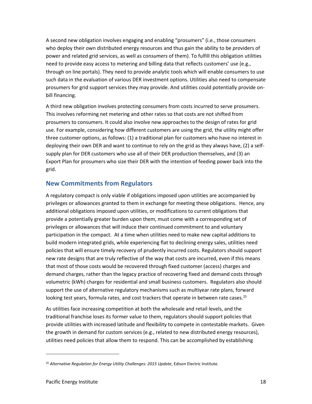A second new obligation involves engaging and enabling "prosumers" (i.e., those consumers who deploy their own distributed energy resources and thus gain the ability to be *pro*viders of power and related grid services, as well as con*sumers* of them). To fulfill this obligation utilities need to provide easy access to metering and billing data that reflects customers' use (e.g., through on line portals). They need to provide analytic tools which will enable consumers to use such data in the evaluation of various DER investment options. Utilities also need to compensate prosumers for grid support services they may provide. And utilities could potentially provide onbill financing.

A third new obligation involves protecting consumers from costs incurred to serve prosumers. This involves reforming net metering and other rates so that costs are not shifted from prosumers to consumers. It could also involve new approaches to the design of rates for grid use. For example, considering how different customers are using the grid, the utility might offer three customer options, as follows: (1) a traditional plan for customers who have no interest in deploying their own DER and want to continue to rely on the grid as they always have, (2) a selfsupply plan for DER customers who use all of their DER production themselves, and (3) an Export Plan for prosumers who size their DER with the intention of feeding power back into the grid.

#### <span id="page-18-0"></span>**New Commitments from Regulators**

A regulatory compact is only viable if obligations imposed upon utilities are accompanied by privileges or allowances granted to them in exchange for meeting these obligations. Hence, any additional obligations imposed upon utilities, or modifications to current obligations that provide a potentially greater burden upon them, must come with a corresponding set of privileges or allowances that will induce their continued commitment to and voluntary participation in the compact. At a time when utilities need to make new capital additions to build modern integrated grids, while experiencing flat to declining energy sales, utilities need policies that will ensure timely recovery of prudently incurred costs. Regulators should support new rate designs that are truly reflective of the way that costs are incurred, even if this means that most of those costs would be recovered through fixed customer (access) charges and demand charges, rather than the legacy practice of recovering fixed and demand costs through volumetric (kWh) charges for residential and small business customers. Regulators also should support the use of alternative regulatory mechanisms such as multiyear rate plans, forward looking test years, formula rates, and cost trackers that operate in between rate cases.<sup>25</sup>

As utilities face increasing competition at both the wholesale and retail levels, and the traditional franchise loses its former value to them, regulators should support policies that provide utilities with increased latitude and flexibility to compete in contestable markets. Given the growth in demand for custom services (e.g., related to new distributed energy resources), utilities need policies that allow them to respond. This can be accomplished by establishing

<sup>25</sup> *Alternative Regulation for Energy Utility Challenges: 2015 Update*, Edison Electric Institute.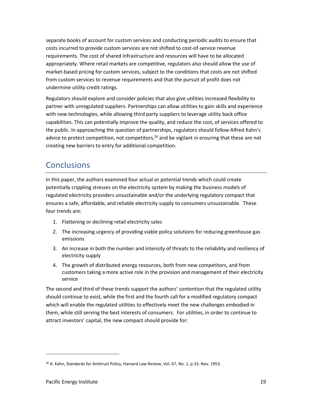separate books of account for custom services and conducting periodic audits to ensure that costs incurred to provide custom services are not shifted to cost-of-service revenue requirements. The cost of shared infrastructure and resources will have to be allocated appropriately. Where retail markets are competitive, regulators also should allow the use of market-based pricing for custom services, subject to the conditions that costs are not shifted from custom services to revenue requirements and that the pursuit of profit does not undermine utility credit ratings.

Regulators should explore and consider policies that also give utilities increased flexibility to partner with unregulated suppliers. Partnerships can allow utilities to gain skills and experience with new technologies, while allowing third party suppliers to leverage utility back office capabilities. This can potentially improve the quality, and reduce the cost, of services offered to the public. In approaching the question of partnerships, regulators should follow Alfred Kahn's advice to protect competition, not competitors,  $26$  and be vigilant in ensuring that these are not creating new barriers to entry for additional competition.

## <span id="page-19-0"></span>**Conclusions**

In this paper, the authors examined four actual or potential trends which could create potentially crippling stresses on the electricity system by making the business models of regulated electricity providers unsustainable and/or the underlying regulatory compact that ensures a safe, affordable, and reliable electricity supply to consumers unsustainable. These four trends are:

- 1. Flattening or declining retail electricity sales
- 2. The increasing urgency of providing viable policy solutions for reducing greenhouse gas emissions
- 3. An increase in both the number and intensity of threats to the reliability and resiliency of electricity supply
- 4. The growth of distributed energy resources, both from new competitors, and from customers taking a more active role in the provision and management of their electricity service

The second and third of these trends support the authors' contention that the regulated utility should continue to exist, while the first and the fourth call for a modified regulatory compact which will enable the regulated utilities to effectively meet the new challenges embodied in them, while still serving the best interests of consumers. For utilities, in order to continue to attract investors' capital, the new compact should provide for:

<sup>&</sup>lt;sup>26</sup> A. Kahn, Standards for Antitrust Policy, Harvard Law Review, Vol. 67, No. 1, p.33. Nov. 1953.